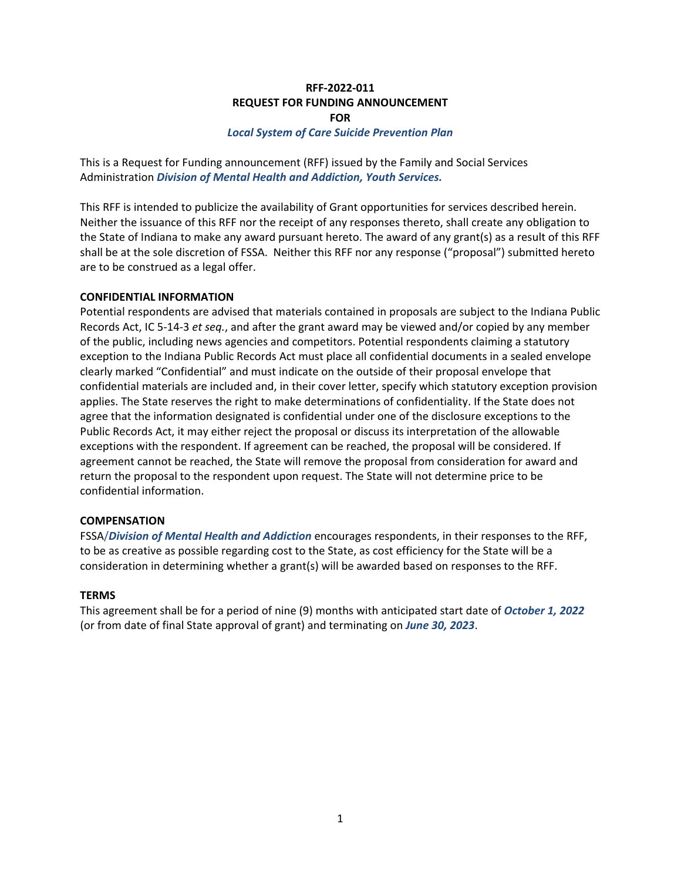### **RFF-2022-011 REQUEST FOR FUNDING ANNOUNCEMENT FOR**

#### *Local System of Care Suicide Prevention Plan*

This is a Request for Funding announcement (RFF) issued by the Family and Social Services Administration *Division of Mental Health and Addiction, Youth Services.*

This RFF is intended to publicize the availability of Grant opportunities for services described herein. Neither the issuance of this RFF nor the receipt of any responses thereto, shall create any obligation to the State of Indiana to make any award pursuant hereto. The award of any grant(s) as a result of this RFF shall be at the sole discretion of FSSA. Neither this RFF nor any response ("proposal") submitted hereto are to be construed as a legal offer.

#### **CONFIDENTIAL INFORMATION**

Potential respondents are advised that materials contained in proposals are subject to the Indiana Public Records Act, IC 5-14-3 *et seq.*, and after the grant award may be viewed and/or copied by any member of the public, including news agencies and competitors. Potential respondents claiming a statutory exception to the Indiana Public Records Act must place all confidential documents in a sealed envelope clearly marked "Confidential" and must indicate on the outside of their proposal envelope that confidential materials are included and, in their cover letter, specify which statutory exception provision applies. The State reserves the right to make determinations of confidentiality. If the State does not agree that the information designated is confidential under one of the disclosure exceptions to the Public Records Act, it may either reject the proposal or discuss its interpretation of the allowable exceptions with the respondent. If agreement can be reached, the proposal will be considered. If agreement cannot be reached, the State will remove the proposal from consideration for award and return the proposal to the respondent upon request. The State will not determine price to be confidential information.

#### **COMPENSATION**

FSSA/*Division of Mental Health and Addiction* encourages respondents, in their responses to the RFF, to be as creative as possible regarding cost to the State, as cost efficiency for the State will be a consideration in determining whether a grant(s) will be awarded based on responses to the RFF.

#### **TERMS**

This agreement shall be for a period of nine (9) months with anticipated start date of *October 1, 2022*  (or from date of final State approval of grant) and terminating on *June 30, 2023*.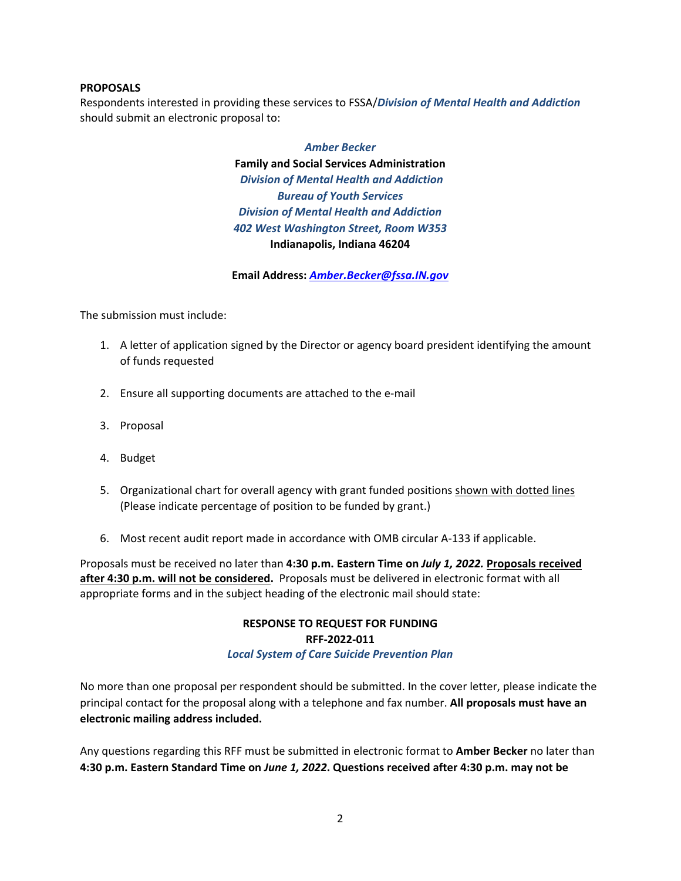### **PROPOSALS**

Respondents interested in providing these services to FSSA/*Division of Mental Health and Addiction* should submit an electronic proposal to:

# *Amber Becker* **Family and Social Services Administration** *Division of Mental Health and Addiction Bureau of Youth Services Division of Mental Health and Addiction 402 West Washington Street, Room W353* **Indianapolis, Indiana 46204**

**Email Address:** *[Amber.Becker@fssa.IN.gov](mailto:Amber.Becker@fssa.IN.gov)*

The submission must include:

- 1. A letter of application signed by the Director or agency board president identifying the amount of funds requested
- 2. Ensure all supporting documents are attached to the e-mail
- 3. Proposal
- 4. Budget
- 5. Organizational chart for overall agency with grant funded positions shown with dotted lines (Please indicate percentage of position to be funded by grant.)
- 6. Most recent audit report made in accordance with OMB circular A-133 if applicable.

Proposals must be received no later than **4:30 p.m. Eastern Time on** *July 1, 2022.* **Proposals received after 4:30 p.m. will not be considered.** Proposals must be delivered in electronic format with all appropriate forms and in the subject heading of the electronic mail should state:

> **RESPONSE TO REQUEST FOR FUNDING RFF-2022-011** *Local System of Care Suicide Prevention Plan*

No more than one proposal per respondent should be submitted. In the cover letter, please indicate the principal contact for the proposal along with a telephone and fax number. **All proposals must have an electronic mailing address included.** 

Any questions regarding this RFF must be submitted in electronic format to **Amber Becker** no later than **4:30 p.m. Eastern Standard Time on** *June 1, 2022***. Questions received after 4:30 p.m. may not be**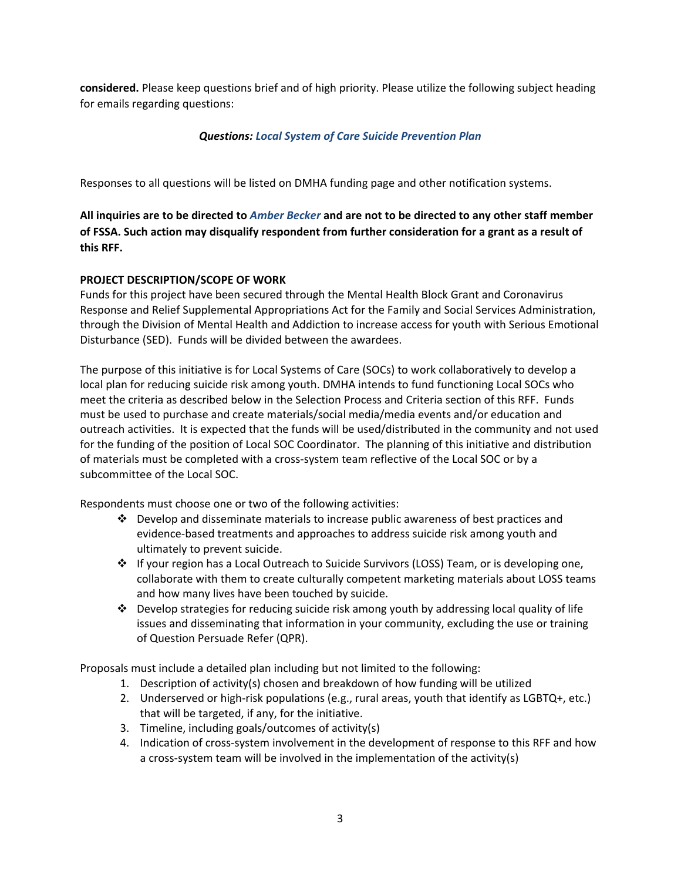**considered.** Please keep questions brief and of high priority. Please utilize the following subject heading for emails regarding questions:

# *Questions: Local System of Care Suicide Prevention Plan*

Responses to all questions will be listed on DMHA funding page and other notification systems.

**All inquiries are to be directed to** *Amber Becker* **and are not to be directed to any other staff member of FSSA. Such action may disqualify respondent from further consideration for a grant as a result of this RFF.**

# **PROJECT DESCRIPTION/SCOPE OF WORK**

Funds for this project have been secured through the Mental Health Block Grant and Coronavirus Response and Relief Supplemental Appropriations Act for the Family and Social Services Administration, through the Division of Mental Health and Addiction to increase access for youth with Serious Emotional Disturbance (SED). Funds will be divided between the awardees.

The purpose of this initiative is for Local Systems of Care (SOCs) to work collaboratively to develop a local plan for reducing suicide risk among youth. DMHA intends to fund functioning Local SOCs who meet the criteria as described below in the Selection Process and Criteria section of this RFF. Funds must be used to purchase and create materials/social media/media events and/or education and outreach activities. It is expected that the funds will be used/distributed in the community and not used for the funding of the position of Local SOC Coordinator. The planning of this initiative and distribution of materials must be completed with a cross-system team reflective of the Local SOC or by a subcommittee of the Local SOC.

Respondents must choose one or two of the following activities:

- $\div$  Develop and disseminate materials to increase public awareness of best practices and evidence-based treatments and approaches to address suicide risk among youth and ultimately to prevent suicide.
- ◆ If your region has a Local Outreach to Suicide Survivors (LOSS) Team, or is developing one, collaborate with them to create culturally competent marketing materials about LOSS teams and how many lives have been touched by suicide.
- $\div$  Develop strategies for reducing suicide risk among youth by addressing local quality of life issues and disseminating that information in your community, excluding the use or training of Question Persuade Refer (QPR).

Proposals must include a detailed plan including but not limited to the following:

- 1. Description of activity(s) chosen and breakdown of how funding will be utilized
- 2. Underserved or high-risk populations (e.g., rural areas, youth that identify as LGBTQ+, etc.) that will be targeted, if any, for the initiative.
- 3. Timeline, including goals/outcomes of activity(s)
- 4. Indication of cross-system involvement in the development of response to this RFF and how a cross-system team will be involved in the implementation of the activity(s)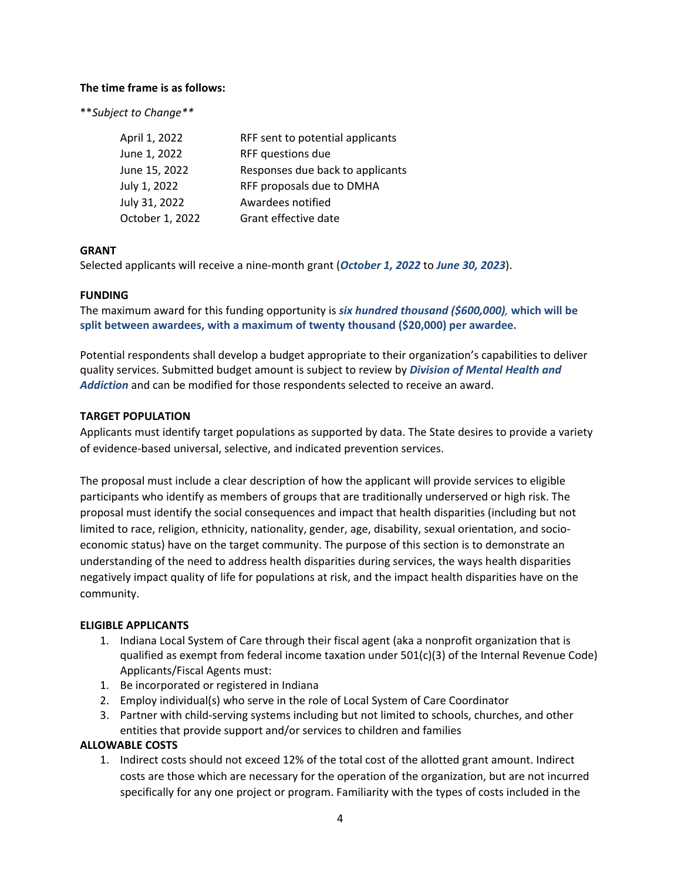## **The time frame is as follows:**

\*\**Subject to Change\*\**

| April 1, 2022   | RFF sent to potential applicants |
|-----------------|----------------------------------|
| June 1, 2022    | RFF questions due                |
| June 15, 2022   | Responses due back to applicants |
| July 1, 2022    | RFF proposals due to DMHA        |
| July 31, 2022   | Awardees notified                |
| October 1, 2022 | Grant effective date             |

## **GRANT**

Selected applicants will receive a nine-month grant (*October 1, 2022* to *June 30, 2023*).

### **FUNDING**

The maximum award for this funding opportunity is *six hundred thousand (\$600,000),* **which will be split between awardees, with a maximum of twenty thousand (\$20,000) per awardee.**

Potential respondents shall develop a budget appropriate to their organization's capabilities to deliver quality services. Submitted budget amount is subject to review by *Division of Mental Health and Addiction* and can be modified for those respondents selected to receive an award.

### **TARGET POPULATION**

Applicants must identify target populations as supported by data. The State desires to provide a variety of evidence-based universal, selective, and indicated prevention services.

The proposal must include a clear description of how the applicant will provide services to eligible participants who identify as members of groups that are traditionally underserved or high risk. The proposal must identify the social consequences and impact that health disparities (including but not limited to race, religion, ethnicity, nationality, gender, age, disability, sexual orientation, and socioeconomic status) have on the target community. The purpose of this section is to demonstrate an understanding of the need to address health disparities during services, the ways health disparities negatively impact quality of life for populations at risk, and the impact health disparities have on the community.

## **ELIGIBLE APPLICANTS**

- 1. Indiana Local System of Care through their fiscal agent (aka a nonprofit organization that is qualified as exempt from federal income taxation under  $501(c)(3)$  of the Internal Revenue Code) Applicants/Fiscal Agents must:
- 1. Be incorporated or registered in Indiana
- 2. Employ individual(s) who serve in the role of Local System of Care Coordinator
- 3. Partner with child-serving systems including but not limited to schools, churches, and other entities that provide support and/or services to children and families

#### **ALLOWABLE COSTS**

1. Indirect costs should not exceed 12% of the total cost of the allotted grant amount. Indirect costs are those which are necessary for the operation of the organization, but are not incurred specifically for any one project or program. Familiarity with the types of costs included in the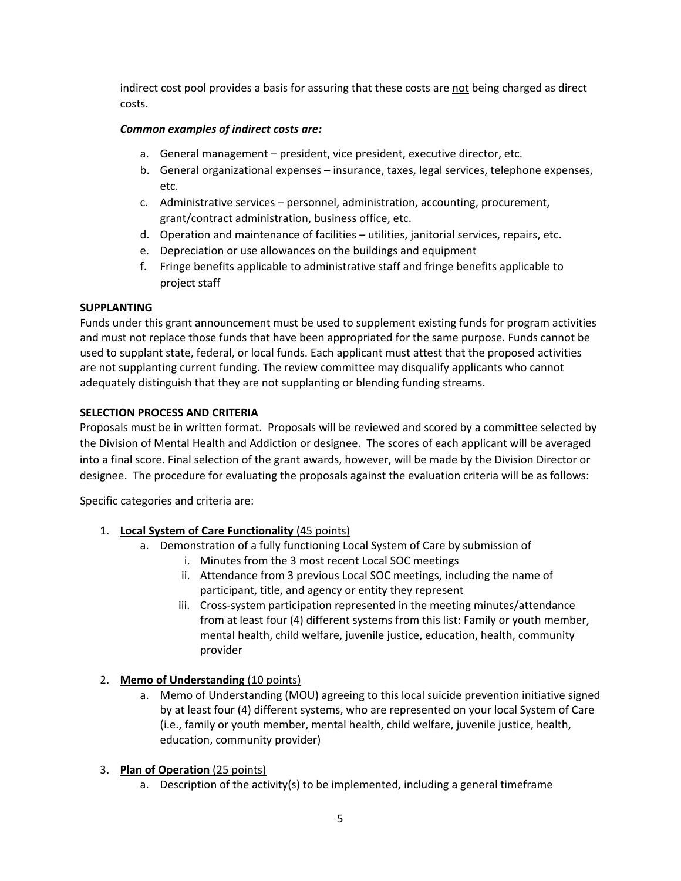indirect cost pool provides a basis for assuring that these costs are not being charged as direct costs.

# *Common examples of indirect costs are:*

- a. General management president, vice president, executive director, etc.
- b. General organizational expenses insurance, taxes, legal services, telephone expenses, etc.
- c. Administrative services personnel, administration, accounting, procurement, grant/contract administration, business office, etc.
- d. Operation and maintenance of facilities utilities, janitorial services, repairs, etc.
- e. Depreciation or use allowances on the buildings and equipment
- f. Fringe benefits applicable to administrative staff and fringe benefits applicable to project staff

## **SUPPLANTING**

Funds under this grant announcement must be used to supplement existing funds for program activities and must not replace those funds that have been appropriated for the same purpose. Funds cannot be used to supplant state, federal, or local funds. Each applicant must attest that the proposed activities are not supplanting current funding. The review committee may disqualify applicants who cannot adequately distinguish that they are not supplanting or blending funding streams.

## **SELECTION PROCESS AND CRITERIA**

Proposals must be in written format. Proposals will be reviewed and scored by a committee selected by the Division of Mental Health and Addiction or designee. The scores of each applicant will be averaged into a final score. Final selection of the grant awards, however, will be made by the Division Director or designee. The procedure for evaluating the proposals against the evaluation criteria will be as follows:

Specific categories and criteria are:

## 1. **Local System of Care Functionality** (45 points)

- a. Demonstration of a fully functioning Local System of Care by submission of
	- i. Minutes from the 3 most recent Local SOC meetings
	- ii. Attendance from 3 previous Local SOC meetings, including the name of participant, title, and agency or entity they represent
	- iii. Cross-system participation represented in the meeting minutes/attendance from at least four (4) different systems from this list: Family or youth member, mental health, child welfare, juvenile justice, education, health, community provider

# 2. **Memo of Understanding** (10 points)

a. Memo of Understanding (MOU) agreeing to this local suicide prevention initiative signed by at least four (4) different systems, who are represented on your local System of Care (i.e., family or youth member, mental health, child welfare, juvenile justice, health, education, community provider)

## 3. **Plan of Operation** (25 points)

a. Description of the activity(s) to be implemented, including a general timeframe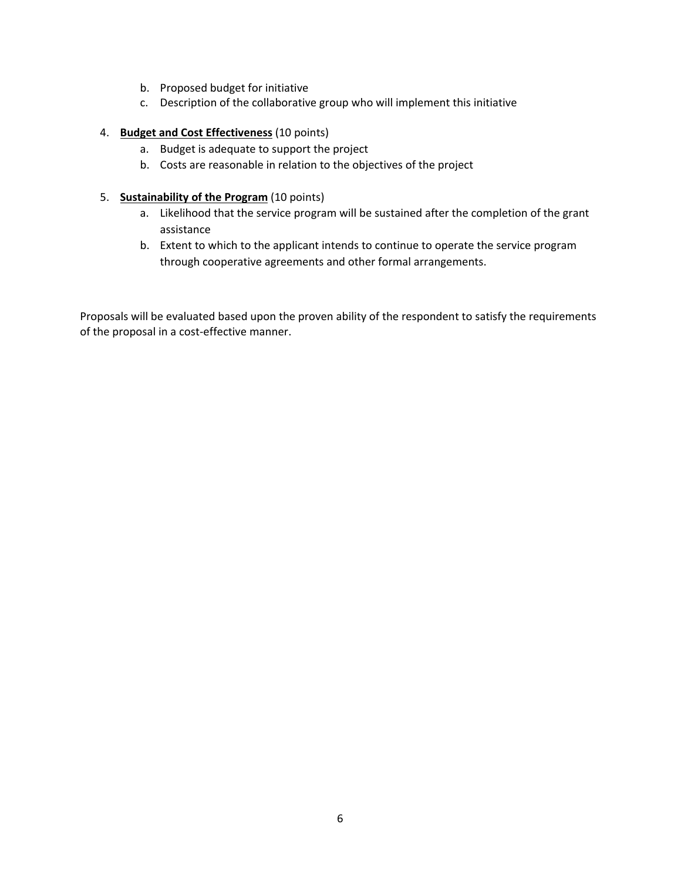- b. Proposed budget for initiative
- c. Description of the collaborative group who will implement this initiative

### 4. **Budget and Cost Effectiveness** (10 points)

- a. Budget is adequate to support the project
- b. Costs are reasonable in relation to the objectives of the project

### 5. **Sustainability of the Program** (10 points)

- a. Likelihood that the service program will be sustained after the completion of the grant assistance
- b. Extent to which to the applicant intends to continue to operate the service program through cooperative agreements and other formal arrangements.

Proposals will be evaluated based upon the proven ability of the respondent to satisfy the requirements of the proposal in a cost-effective manner.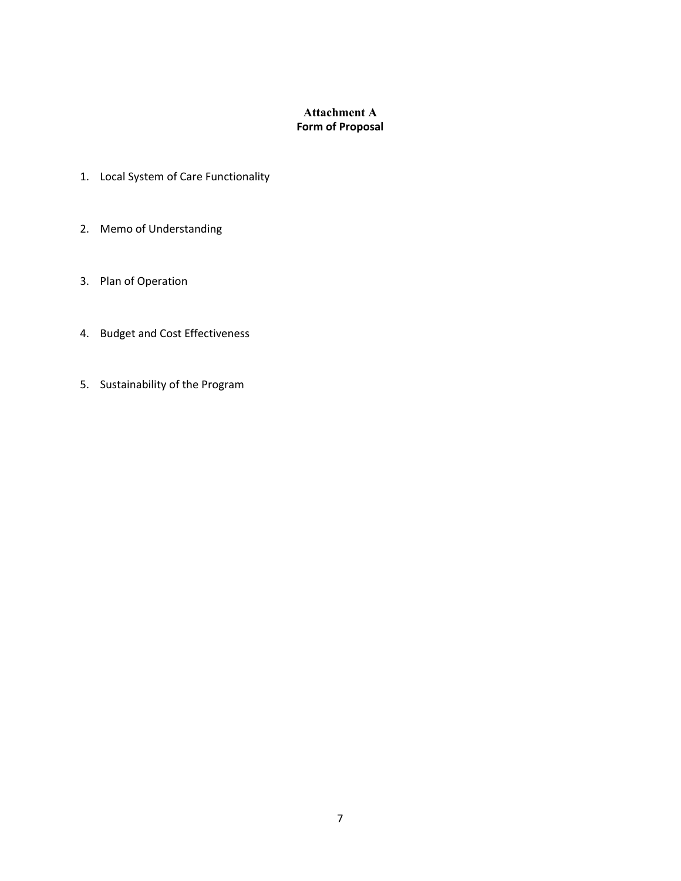# **Attachment A Form of Proposal**

- 1. Local System of Care Functionality
- 2. Memo of Understanding
- 3. Plan of Operation
- 4. Budget and Cost Effectiveness
- 5. Sustainability of the Program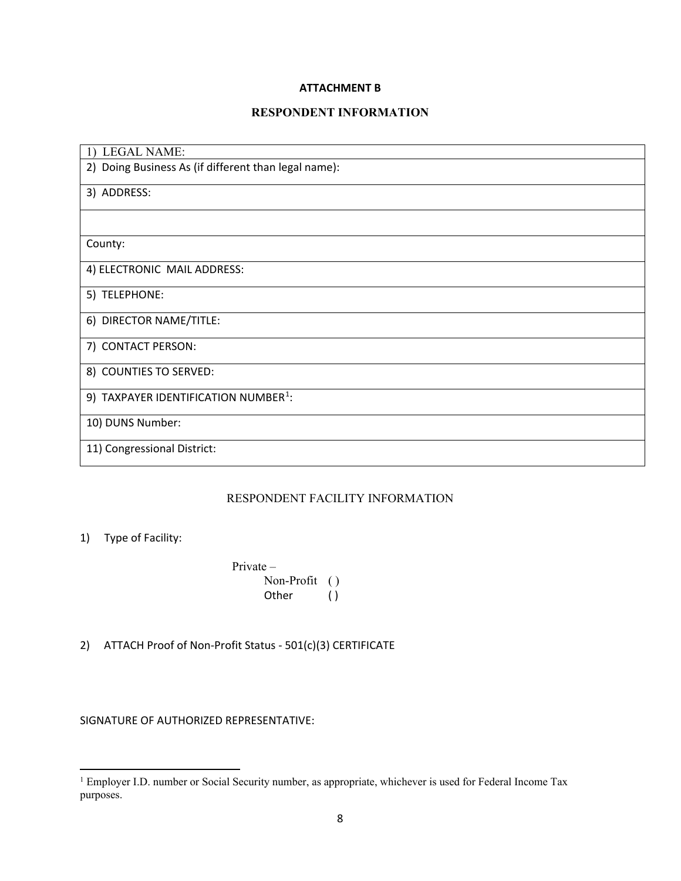## **ATTACHMENT B**

# **RESPONDENT INFORMATION**

| <b>LEGAL NAME:</b><br>1)                             |
|------------------------------------------------------|
| 2) Doing Business As (if different than legal name): |
| 3) ADDRESS:                                          |
|                                                      |
| County:                                              |
| 4) ELECTRONIC MAIL ADDRESS:                          |
| 5) TELEPHONE:                                        |
| 6) DIRECTOR NAME/TITLE:                              |
| 7) CONTACT PERSON:                                   |
| 8) COUNTIES TO SERVED:                               |
| 9) TAXPAYER IDENTIFICATION NUMBER <sup>1</sup> :     |
| 10) DUNS Number:                                     |
| 11) Congressional District:                          |

# RESPONDENT FACILITY INFORMATION

# 1) Type of Facility:

Private – Non-Profit ( ) Other ()

2) ATTACH Proof of Non-Profit Status - 501(c)(3) CERTIFICATE

SIGNATURE OF AUTHORIZED REPRESENTATIVE:

<span id="page-7-0"></span><sup>&</sup>lt;sup>1</sup> Employer I.D. number or Social Security number, as appropriate, whichever is used for Federal Income Tax purposes.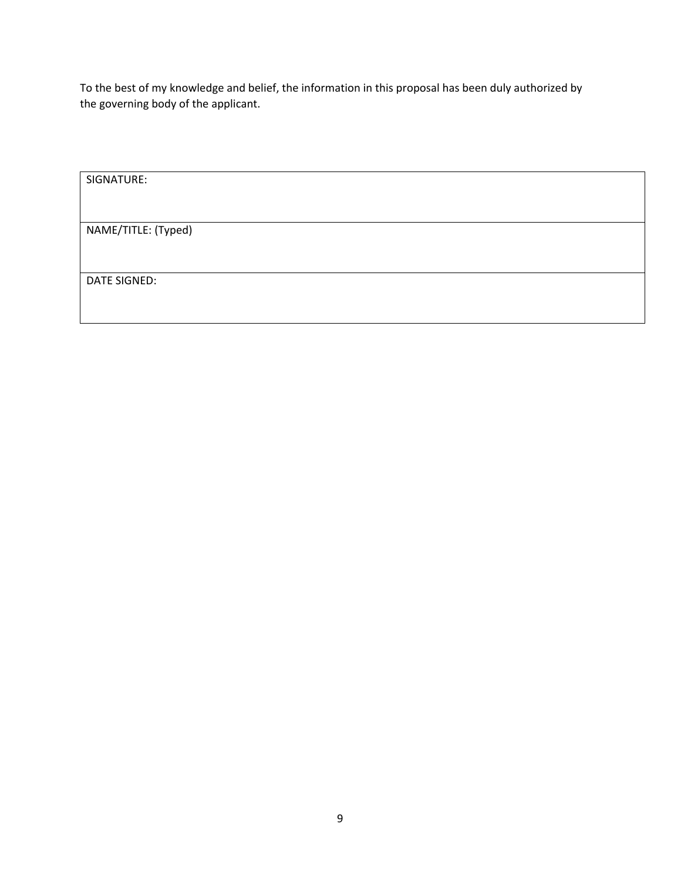To the best of my knowledge and belief, the information in this proposal has been duly authorized by the governing body of the applicant.

| SIGNATURE:          |  |  |
|---------------------|--|--|
|                     |  |  |
| NAME/TITLE: (Typed) |  |  |
|                     |  |  |
|                     |  |  |
| DATE SIGNED:        |  |  |
|                     |  |  |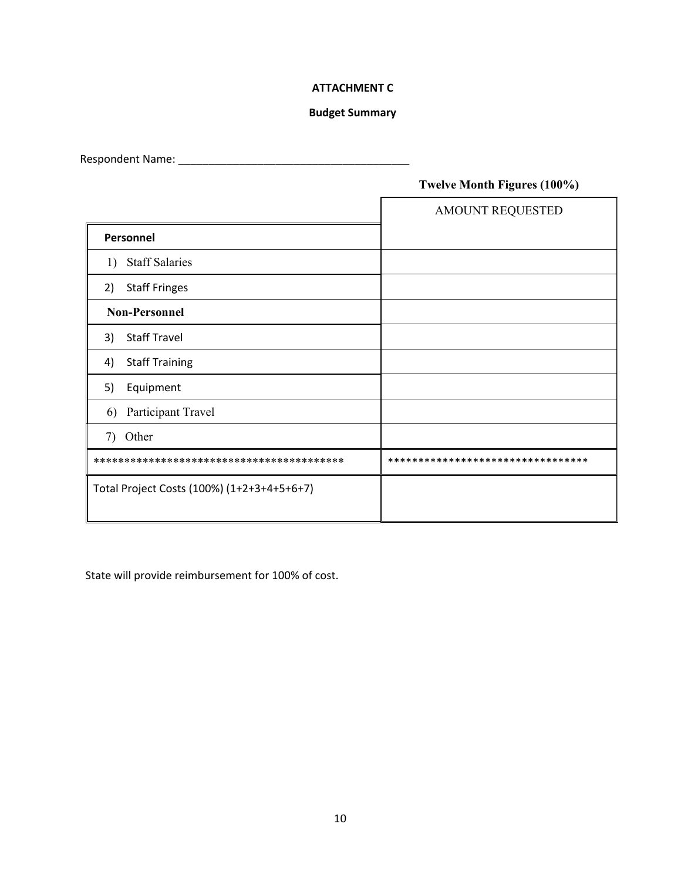# **ATTACHMENT C**

## **Budget Summary**

Respondent Name: \_\_\_\_\_\_\_\_\_\_\_\_\_\_\_\_\_\_\_\_\_\_\_\_\_\_\_\_\_\_\_\_\_\_\_\_\_\_

# **Twelve Month Figures (100%)**

|                                            | <b>AMOUNT REQUESTED</b>           |
|--------------------------------------------|-----------------------------------|
| Personnel                                  |                                   |
| <b>Staff Salaries</b><br>1)                |                                   |
| <b>Staff Fringes</b><br>2)                 |                                   |
| <b>Non-Personnel</b>                       |                                   |
| <b>Staff Travel</b><br>3)                  |                                   |
| <b>Staff Training</b><br>4)                |                                   |
| 5)<br>Equipment                            |                                   |
| Participant Travel<br>6)                   |                                   |
| Other<br>7)                                |                                   |
|                                            | ********************************* |
| Total Project Costs (100%) (1+2+3+4+5+6+7) |                                   |

State will provide reimbursement for 100% of cost.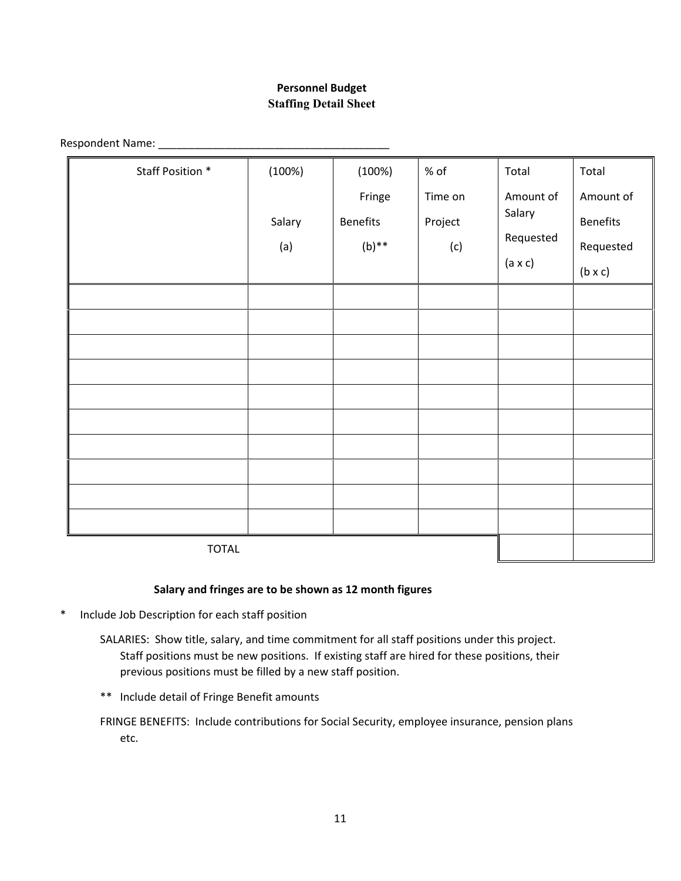# **Personnel Budget Staffing Detail Sheet**

Respondent Name: \_\_\_\_\_\_\_\_\_\_\_\_\_\_\_\_\_\_\_\_\_\_\_\_\_\_\_\_\_\_\_\_\_\_\_\_\_\_

| Staff Position * | (100%) | (100%)          | % of    | Total          | Total           |
|------------------|--------|-----------------|---------|----------------|-----------------|
|                  |        | Fringe          | Time on | Amount of      | Amount of       |
|                  | Salary | <b>Benefits</b> | Project | Salary         | <b>Benefits</b> |
|                  | (a)    | $(b)$ **        | (c)     | Requested      | Requested       |
|                  |        |                 |         | $(a \times c)$ | $(b \times c)$  |
|                  |        |                 |         |                |                 |
|                  |        |                 |         |                |                 |
|                  |        |                 |         |                |                 |
|                  |        |                 |         |                |                 |
|                  |        |                 |         |                |                 |
|                  |        |                 |         |                |                 |
|                  |        |                 |         |                |                 |
|                  |        |                 |         |                |                 |
|                  |        |                 |         |                |                 |
|                  |        |                 |         |                |                 |
| <b>TOTAL</b>     |        |                 |         |                |                 |

## **Salary and fringes are to be shown as 12 month figures**

- \* Include Job Description for each staff position
	- SALARIES: Show title, salary, and time commitment for all staff positions under this project. Staff positions must be new positions. If existing staff are hired for these positions, their previous positions must be filled by a new staff position.
	- \*\* Include detail of Fringe Benefit amounts

FRINGE BENEFITS: Include contributions for Social Security, employee insurance, pension plans etc.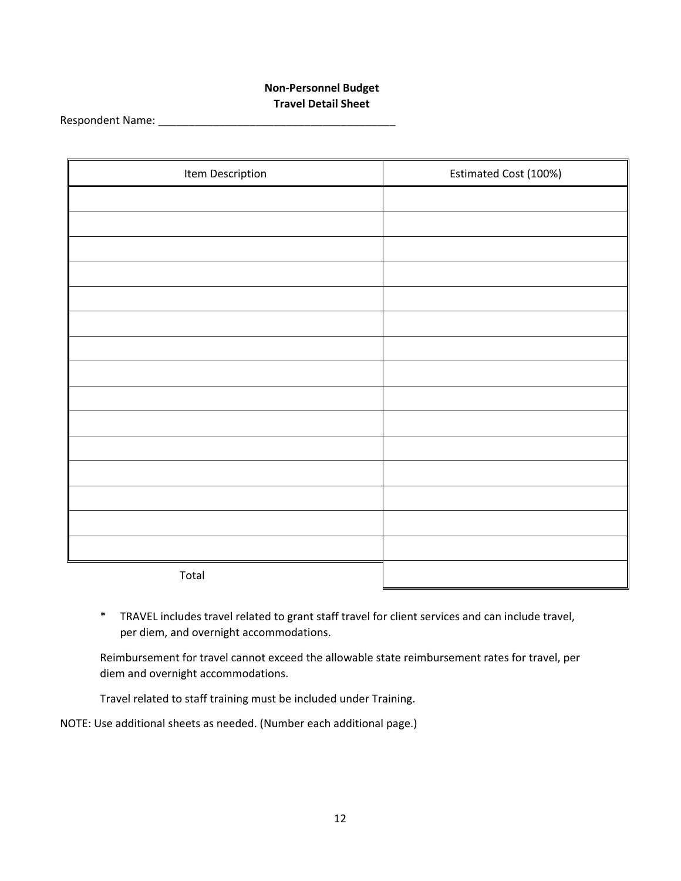# **Non-Personnel Budget Travel Detail Sheet**

Respondent Name: \_\_\_\_\_\_\_\_\_\_\_\_\_\_\_\_\_\_\_\_\_\_\_\_\_\_\_\_\_\_\_\_\_\_\_\_\_\_\_

| Item Description | Estimated Cost (100%) |
|------------------|-----------------------|
|                  |                       |
|                  |                       |
|                  |                       |
|                  |                       |
|                  |                       |
|                  |                       |
|                  |                       |
|                  |                       |
|                  |                       |
|                  |                       |
|                  |                       |
|                  |                       |
|                  |                       |
|                  |                       |
|                  |                       |
| Total            |                       |

\* TRAVEL includes travel related to grant staff travel for client services and can include travel, per diem, and overnight accommodations.

Reimbursement for travel cannot exceed the allowable state reimbursement rates for travel, per diem and overnight accommodations.

Travel related to staff training must be included under Training.

NOTE: Use additional sheets as needed. (Number each additional page.)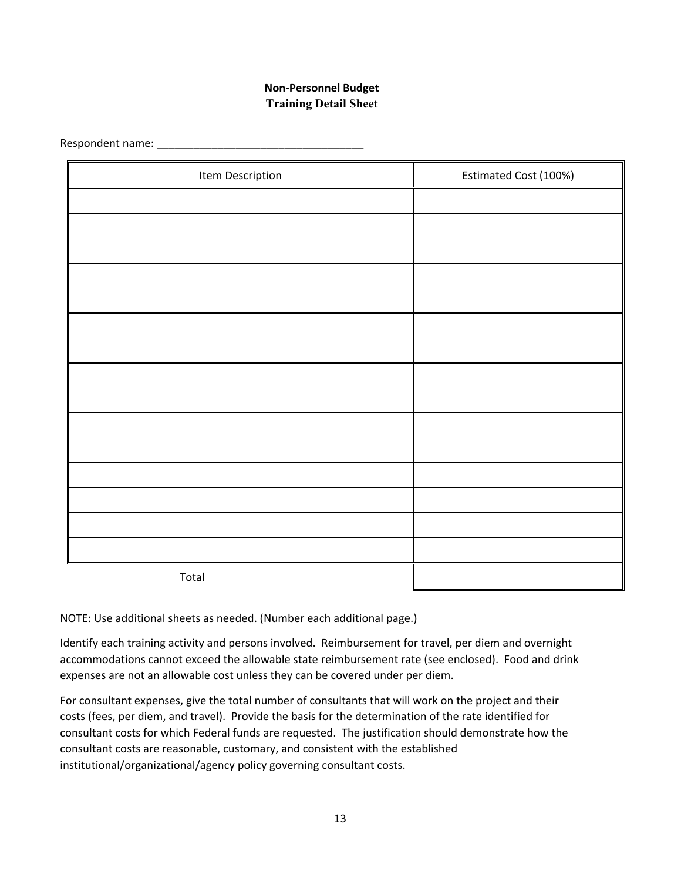# **Non-Personnel Budget Training Detail Sheet**

Respondent name: \_\_\_\_\_\_\_\_\_\_\_\_\_\_\_\_\_\_\_\_\_\_\_\_\_\_\_\_\_\_\_\_\_\_

| Item Description | Estimated Cost (100%) |
|------------------|-----------------------|
|                  |                       |
|                  |                       |
|                  |                       |
|                  |                       |
|                  |                       |
|                  |                       |
|                  |                       |
|                  |                       |
|                  |                       |
|                  |                       |
|                  |                       |
|                  |                       |
|                  |                       |
|                  |                       |
|                  |                       |
| Total            |                       |

NOTE: Use additional sheets as needed. (Number each additional page.)

Identify each training activity and persons involved. Reimbursement for travel, per diem and overnight accommodations cannot exceed the allowable state reimbursement rate (see enclosed). Food and drink expenses are not an allowable cost unless they can be covered under per diem.

For consultant expenses, give the total number of consultants that will work on the project and their costs (fees, per diem, and travel). Provide the basis for the determination of the rate identified for consultant costs for which Federal funds are requested. The justification should demonstrate how the consultant costs are reasonable, customary, and consistent with the established institutional/organizational/agency policy governing consultant costs.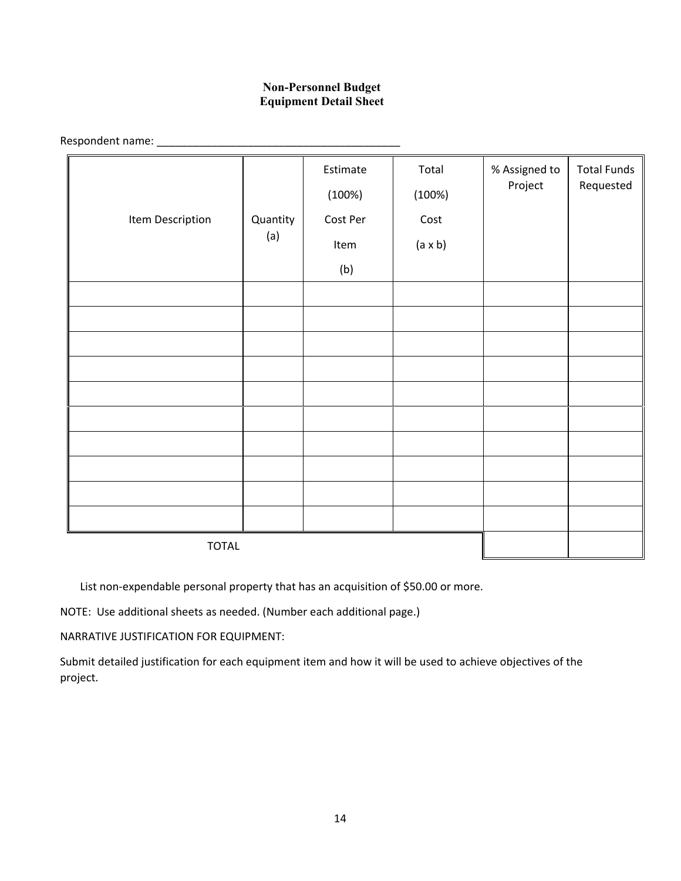# **Non-Personnel Budget Equipment Detail Sheet**

Respondent name: \_\_\_\_\_\_\_\_\_\_\_\_\_\_\_\_\_\_\_\_\_\_\_\_\_\_\_\_\_\_\_\_\_\_\_\_\_\_\_\_

|                  |                 | Estimate<br>(100%) | Total<br>(100%) | % Assigned to<br>Project | <b>Total Funds</b><br>Requested |
|------------------|-----------------|--------------------|-----------------|--------------------------|---------------------------------|
| Item Description | Quantity<br>(a) | Cost Per           | Cost            |                          |                                 |
|                  |                 | Item               | $(a \times b)$  |                          |                                 |
|                  |                 | (b)                |                 |                          |                                 |
|                  |                 |                    |                 |                          |                                 |
|                  |                 |                    |                 |                          |                                 |
|                  |                 |                    |                 |                          |                                 |
|                  |                 |                    |                 |                          |                                 |
|                  |                 |                    |                 |                          |                                 |
|                  |                 |                    |                 |                          |                                 |
|                  |                 |                    |                 |                          |                                 |
|                  |                 |                    |                 |                          |                                 |
|                  |                 |                    |                 |                          |                                 |
|                  |                 |                    |                 |                          |                                 |
| <b>TOTAL</b>     |                 |                    |                 |                          |                                 |

List non-expendable personal property that has an acquisition of \$50.00 or more.

NOTE: Use additional sheets as needed. (Number each additional page.)

NARRATIVE JUSTIFICATION FOR EQUIPMENT:

Submit detailed justification for each equipment item and how it will be used to achieve objectives of the project.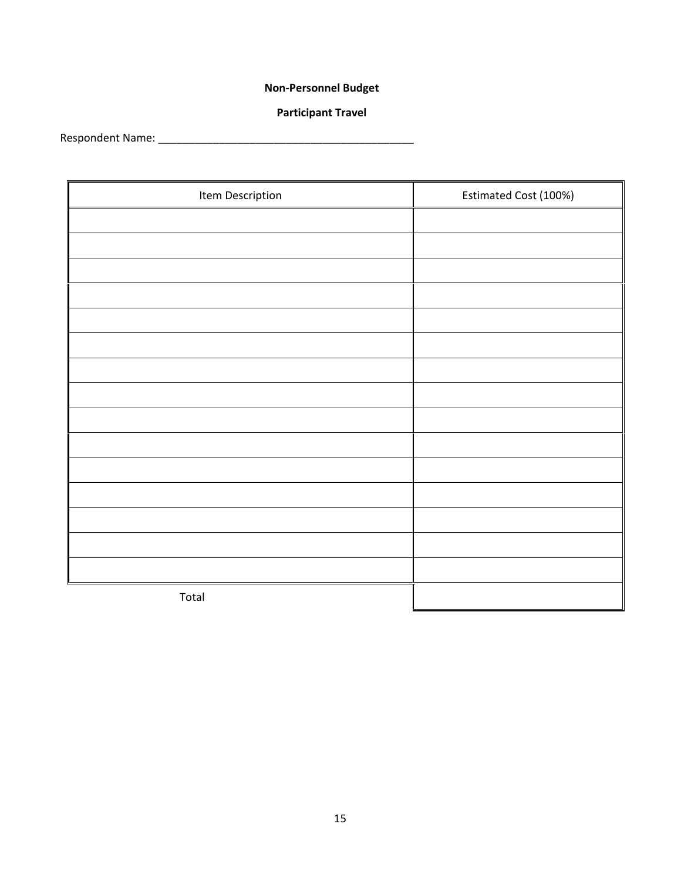# **Non-Personnel Budget**

# **Participant Travel**

Respondent Name: \_\_\_\_\_\_\_\_\_\_\_\_\_\_\_\_\_\_\_\_\_\_\_\_\_\_\_\_\_\_\_\_\_\_\_\_\_\_\_\_\_\_

| Item Description | Estimated Cost (100%) |
|------------------|-----------------------|
|                  |                       |
|                  |                       |
|                  |                       |
|                  |                       |
|                  |                       |
|                  |                       |
|                  |                       |
|                  |                       |
|                  |                       |
|                  |                       |
|                  |                       |
|                  |                       |
|                  |                       |
|                  |                       |
|                  |                       |
| Total            |                       |